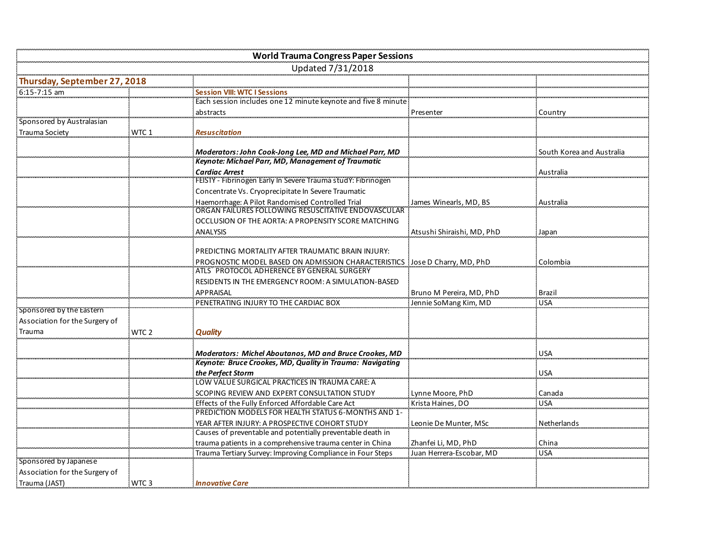|                                 |                  | <b>World Trauma Congress Paper Sessions</b>                   |                            |                           |
|---------------------------------|------------------|---------------------------------------------------------------|----------------------------|---------------------------|
|                                 |                  | Updated 7/31/2018                                             |                            |                           |
| Thursday, September 27,<br>2018 |                  |                                                               |                            |                           |
| 6:15-7:15 am                    |                  |                                                               |                            |                           |
|                                 |                  | Each session includes one 12 minute keynote and five 8 minute |                            |                           |
|                                 |                  | abstracts                                                     | Presenter                  | Country                   |
| Sponsored by Australasian       |                  |                                                               |                            |                           |
| <b>Trauma Society</b>           | WTC 1            | Resuscitation                                                 |                            |                           |
|                                 |                  | Moderators: John Cook-Jong Lee, MD and Michael Parr, MD       |                            | South Korea and Australia |
|                                 |                  | Keynote: Michael Parr, MD, Management of Traumatic            |                            |                           |
|                                 |                  | <b>Cardiac Arrest</b>                                         |                            | Australia                 |
|                                 |                  | FEISTY - Fibrinogen Early In Severe Trauma study: Fibrinogen  |                            |                           |
|                                 |                  | Concentrate Vs. Cryoprecipitate In Severe Traumatic           |                            |                           |
|                                 |                  | Haemorrhage: A Pilot Randomised Controlled Trial              | James Winearls, MD, BS     | Australia                 |
|                                 |                  | ORGAN FAILURES FOLLOWING RESUSCITATIVE ENDOVASCULAR           |                            |                           |
|                                 |                  | OCCLUSION OF THE AORTA: A PROPENSITY SCORE MATCHING           |                            |                           |
|                                 |                  | ANALYSIS                                                      | Atsushi Shiraishi, MD, PhD | Japan                     |
|                                 |                  |                                                               |                            |                           |
|                                 |                  | PREDICTING MORTALITY AFTER TRAUMATIC BRAIN INJURY:            |                            |                           |
|                                 |                  | PROGNOSTIC MODEL BASED ON ADMISSION CHARACTERISTICS           | Jose D Charry, MD, PhD     | Colombia                  |
|                                 |                  | ATLS® PROTOCOL ADHERENCE BY GENERAL SURGERY                   |                            |                           |
|                                 |                  | RESIDENTS IN THE EMERGENCY ROOM: A SIMULATION-BASED           |                            |                           |
|                                 |                  | <b>APPRAISAL</b>                                              | Bruno M Pereira, MD, PhD   | Brazil                    |
| Sponsored by the Eastern        |                  | PENETRATING INJURY TO THE CARDIAC BOX                         | Jennie SoMang Kim, MD      | <b>USA</b>                |
| Association for the Surgery of  |                  |                                                               |                            |                           |
| Trauma                          | WTC 2            | Quality                                                       |                            |                           |
|                                 |                  |                                                               |                            |                           |
|                                 |                  | Moderators: Michel Aboutanos, MD and Bruce Crookes, MD        |                            | <b>USA</b>                |
|                                 |                  | Keynote: Bruce Crookes, MD, Quality in Trauma: Navigating     |                            |                           |
|                                 |                  | the Perfect Storm                                             |                            | <b>USA</b>                |
|                                 |                  | LOW VALUE SURGICAL PRACTICES IN TRAUMA CARE: A                |                            |                           |
|                                 |                  | SCOPING REVIEW AND EXPERT CONSULTATION STUDY                  | Lynne Moore, PhD           | Canada                    |
|                                 |                  | Effects of the Fully Enforced Affordable Care Act             | Krista Haines, DO          | <b>USA</b>                |
|                                 |                  | PREDICTION MODELS FOR HEALTH STATUS 6-MONTHS AND 1-           |                            |                           |
|                                 |                  | YEAR AFTER INJURY: A PROSPECTIVE COHORT STUDY                 | Leonie De Munter, MSc      | Netherlands               |
|                                 |                  | Causes of preventable and potentially preventable death in    |                            |                           |
|                                 |                  | trauma patients in a comprehensive trauma center in China     | Zhanfei Li. MD. PhD        | China                     |
| Sponsored by Japanese           |                  | Trauma Tertiary Survey: Improving Compliance in Four Steps    | Juan Herrera-Escobar, MD   | <b>USA</b>                |
| Association for the Surgery of  |                  |                                                               |                            |                           |
| Trauma (JAST)                   | WTC <sub>3</sub> | <b>Innovative Care</b>                                        |                            |                           |
|                                 |                  |                                                               |                            |                           |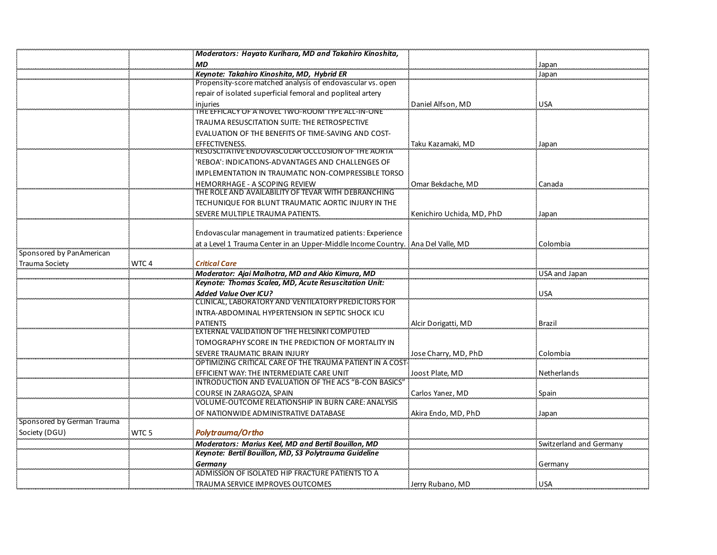|                            |                  | Moderators: Hayato Kurihara, MD and Takahiro Kinoshita,                             |                           |                         |
|----------------------------|------------------|-------------------------------------------------------------------------------------|---------------------------|-------------------------|
|                            |                  | <b>MD</b>                                                                           |                           | Japan                   |
|                            |                  | Keynote: Takahiro Kinoshita, MD, Hybrid ER                                          |                           | Japan                   |
|                            |                  | Propensity-score matched analysis of endovascular vs. open                          |                           |                         |
|                            |                  | repair of isolated superficial femoral and popliteal artery                         |                           |                         |
|                            |                  | iniuries                                                                            | Daniel Alfson, MD         | <b>USA</b>              |
|                            |                  | THE EFFICACY OF A NOVEL TWO-ROOM TYPE ALL-IN-ONE                                    |                           |                         |
|                            |                  | TRAUMA RESUSCITATION SUITE: THE RETROSPECTIVE                                       |                           |                         |
|                            |                  | EVALUATION OF THE BENEFITS OF TIME-SAVING AND COST-                                 |                           |                         |
|                            |                  | EFFECTIVENESS.<br>RESUSCITATIVE ENDOVASCULAR OCCLUSION OF THE AORTA                 | Taku Kazamaki, MD         | Japan                   |
|                            |                  | 'REBOA': INDICATIONS-ADVANTAGES AND CHALLENGES OF                                   |                           |                         |
|                            |                  | IMPLEMENTATION IN TRAUMATIC NON-COMPRESSIBLE TORSO                                  |                           |                         |
|                            |                  | HEMORRHAGE - A SCOPING REVIEW                                                       | Omar Bekdache, MD         | Canada                  |
|                            |                  | THE ROLE AND AVAILABILITY OF TEVAR WITH DEBRANCHING                                 |                           |                         |
|                            |                  | TECHUNIQUE FOR BLUNT TRAUMATIC AORTIC INJURY IN THE                                 |                           |                         |
|                            |                  | SEVERE MULTIPLE TRAUMA PATIENTS.                                                    | Kenichiro Uchida, MD, PhD | Japan                   |
|                            |                  |                                                                                     |                           |                         |
|                            |                  | Endovascular management in traumatized patients: Experience                         |                           |                         |
|                            |                  | at a Level 1 Trauma Center in an Upper-Middle Income Country. Ana Del Valle, MD     |                           | Colombia                |
| Sponsored by PanAmerican   |                  |                                                                                     |                           |                         |
| Trauma Society             | WTC <sub>4</sub> | <b>Critical Care</b>                                                                |                           |                         |
|                            |                  | Moderator: Ajai Malhotra, MD and Akio Kimura, MD                                    |                           | USA and Japan           |
|                            |                  | Keynote: Thomas Scalea, MD, Acute Resuscitation Unit:                               |                           |                         |
|                            |                  | <b>Added Value Over ICU?</b><br>CLINICAL, LABORATORY AND VENTILATORY PREDICTORS FOR |                           | <b>USA</b>              |
|                            |                  | INTRA-ABDOMINAL HYPERTENSION IN SEPTIC SHOCK ICU                                    |                           |                         |
|                            |                  | <b>PATIENTS</b>                                                                     |                           | <b>Brazil</b>           |
|                            |                  | EXTERNAL VALIDATION OF THE HELSINKI COMPUTED                                        | Alcir Dorigatti, MD       |                         |
|                            |                  | TOMOGRAPHY SCORE IN THE PREDICTION OF MORTALITY IN                                  |                           |                         |
|                            |                  | SEVERE TRAUMATIC BRAIN INJURY                                                       | Jose Charry, MD, PhD      | Colombia                |
|                            |                  | OPTIMIZING CRITICAL CARE OF THE TRAUMA PATIENT IN A COST                            |                           |                         |
|                            |                  | EFFICIENT WAY: THE INTERMEDIATE CARE UNIT                                           | Joost Plate, MD           | Netherlands             |
|                            |                  | INTRODUCTION AND EVALUATION OF THE ACS "B-CON BASICS"                               |                           |                         |
|                            |                  | COURSE IN ZARAGOZA, SPAIN                                                           | Carlos Yanez, MD          | Spain                   |
|                            |                  | VOLUME-OUTCOME RELATIONSHIP IN BURN CARE: ANALYSIS                                  |                           |                         |
|                            |                  | OF NATIONWIDE ADMINISTRATIVE DATABASE                                               | Akira Endo, MD, PhD       | Japan                   |
| Sponsored by German Trauma |                  |                                                                                     |                           |                         |
| Society (DGU)              | WTC <sub>5</sub> | Polytrauma/Ortho                                                                    |                           |                         |
|                            |                  | Moderators: Marius Keel, MD and Bertil Bouillon, MD                                 |                           | Switzerland and Germany |
|                            |                  | Keynote: Bertil Bouillon, MD, S3 Polytrauma Guideline                               |                           |                         |
|                            |                  | Germany<br>ADMISSION OF ISOLATED HIP FRACTURE PATIENTS TO A                         |                           | Germany                 |
|                            |                  | TRAUMA SERVICE IMPROVES OUTCOMES                                                    | Jerry Rubano, MD          | <b>USA</b>              |
|                            |                  |                                                                                     |                           |                         |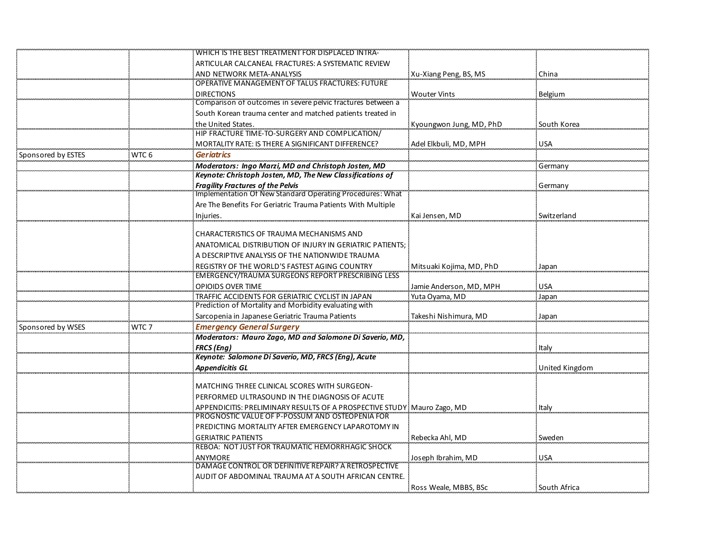|                    |                  | WHICH IS THE BEST TREATMENT FOR DISPLACED INTRA-                          |                          |                |
|--------------------|------------------|---------------------------------------------------------------------------|--------------------------|----------------|
|                    |                  | ARTICULAR CALCANEAL FRACTURES: A SYSTEMATIC REVIEW                        |                          |                |
|                    |                  | AND NETWORK META-ANALYSIS                                                 | Xu-Xiang Peng, BS, MS    | China          |
|                    |                  | OPERATIVE MANAGEMENT OF TALUS FRACTURES: FUTURE                           |                          |                |
|                    |                  | <b>DIRECTIONS</b>                                                         | <b>Wouter Vints</b>      | <b>Belgium</b> |
|                    |                  | Comparison of outcomes in severe pelvic fractures between a               |                          |                |
|                    |                  | South Korean trauma center and matched patients treated in                |                          |                |
|                    |                  | the United States.                                                        | Kyoungwon Jung, MD, PhD  | South Korea    |
|                    |                  | HIP FRACTURE TIME-TO-SURGERY AND COMPLICATION/                            |                          |                |
|                    |                  | <b>MORTALITY RATE: IS THERE A SIGNIFICANT DIFFERENCE?</b>                 | Adel Elkbuli, MD, MPH    | <b>USA</b>     |
| Sponsored by ESTES | WTC <sub>6</sub> | <b>Geriatrics</b>                                                         |                          |                |
|                    |                  | Moderators: Ingo Marzi, MD and Christoph Josten, MD                       |                          | Germany        |
|                    |                  | Keynote: Christoph Josten, MD, The New Classifications of                 |                          |                |
|                    |                  | <b>Fragility Fractures of the Pelvis</b>                                  |                          | Germany        |
|                    |                  | Implementation Of New Standard Operating Procedures: What                 |                          |                |
|                    |                  | Are The Benefits For Geriatric Trauma Patients With Multiple              |                          |                |
|                    |                  | Injuries.                                                                 | Kai Jensen, MD           | Switzerland    |
|                    |                  |                                                                           |                          |                |
|                    |                  | CHARACTERISTICS OF TRAUMA MECHANISMS AND                                  |                          |                |
|                    |                  | ANATOMICAL DISTRIBUTION OF INJURY IN GERIATRIC PATIENTS;                  |                          |                |
|                    |                  | A DESCRIPTIVE ANALYSIS OF THE NATIONWIDE TRAUMA                           |                          |                |
|                    |                  | REGISTRY OF THE WORLD'S FASTEST AGING COUNTRY                             | Mitsuaki Kojima, MD, PhD | Japan          |
|                    |                  | EMERGENCY/TRAUMA SURGEONS REPORT PRESCRIBING LESS                         |                          |                |
|                    |                  | <b>OPIOIDS OVER TIME</b>                                                  | Jamie Anderson, MD, MPH  | <b>USA</b>     |
|                    |                  | TRAFFIC ACCIDENTS FOR GERIATRIC CYCLIST IN JAPAN                          | Yuta Oyama, MD           | Japan          |
|                    |                  | Prediction of Mortality and Morbidity evaluating with                     |                          |                |
|                    |                  | Sarcopenia in Japanese Geriatric Trauma Patients                          | Takeshi Nishimura, MD    | Japan          |
| Sponsored by WSES  | WTC 7            | <b>Emergency General Surgery</b>                                          |                          |                |
|                    |                  | Moderators: Mauro Zago, MD and Salomone Di Saverio, MD,                   |                          |                |
|                    |                  | FRCS (Eng)                                                                |                          | Italy          |
|                    |                  | Keynote: Salomone Di Saverio, MD, FRCS (Eng), Acute                       |                          |                |
|                    |                  | <b>Appendicitis GL</b>                                                    |                          | United Kingdom |
|                    |                  | <b>MATCHING THREE CLINICAL SCORES WITH SURGEON-</b>                       |                          |                |
|                    |                  | PERFORMED ULTRASOUND IN THE DIAGNOSIS OF ACUTE                            |                          |                |
|                    |                  | APPENDICITIS: PRELIMINARY RESULTS OF A PROSPECTIVE STUDY ! Mauro Zago, MD |                          | Italy          |
|                    |                  | PROGNOSTIC VALUE OF P-POSSUM AND OSTEOPENIA FOR                           |                          |                |
|                    |                  | PREDICTING MORTALITY AFTER EMERGENCY LAPAROTOMY IN                        |                          |                |
|                    |                  | <b>GERIATRIC PATIENTS</b>                                                 | Rebecka Ahl, MD          | Sweden         |
|                    |                  | REBOA: NOT JUST FOR TRAUMATIC HEMORRHAGIC SHOCK                           |                          |                |
|                    |                  | ANYMORE                                                                   | Joseph Ibrahim, MD       | <b>USA</b>     |
|                    |                  | DAMAGE CONTROL OR DEFINITIVE REPAIR? A RETROSPECTIVE                      |                          |                |
|                    |                  | AUDIT OF ABDOMINAL TRAUMA AT A SOUTH AFRICAN CENTRE.                      |                          |                |
|                    |                  |                                                                           | Ross Weale, MBBS, BSc    | South Africa   |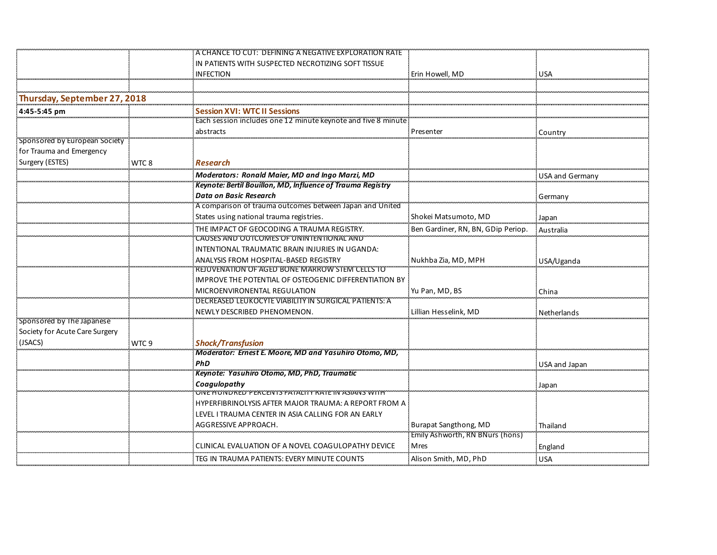|                                |       | A CHANCE TO CUT: DEFINING A NEGATIVE EXPLORATION RATE         |                                    |                        |
|--------------------------------|-------|---------------------------------------------------------------|------------------------------------|------------------------|
|                                |       | IN PATIENTS WITH SUSPECTED NECROTIZING SOFT TISSUE            |                                    |                        |
|                                |       | <b>INFECTION</b>                                              | Erin Howell, MD                    | <b>USA</b>             |
|                                |       |                                                               |                                    |                        |
| Thursday, September 27, 2018   |       |                                                               |                                    |                        |
| 4:45-5:45 pm                   |       | <b>Session XVI: WTC II Sessions</b>                           |                                    |                        |
|                                |       | Each session includes one 12 minute keynote and five 8 minute |                                    |                        |
|                                |       | abstracts                                                     | Presenter                          | Country                |
| Sponsored by European Society  |       |                                                               |                                    |                        |
| for Trauma and Emergency       |       |                                                               |                                    |                        |
| Surgery (ESTES)                | WTC 8 | Research                                                      |                                    |                        |
|                                |       | Moderators: Ronald Maier, MD and Ingo Marzi, MD               |                                    | <b>USA and Germany</b> |
|                                |       | Keynote: Bertil Bouillon, MD, Influence of Trauma Registry    |                                    |                        |
|                                |       | <b>Data on Basic Research</b>                                 |                                    | Germany                |
|                                |       | A comparison of trauma outcomes between Japan and United      |                                    |                        |
|                                |       | States using national trauma registries.                      | Shokei Matsumoto, MD               | Japan                  |
|                                |       | THE IMPACT OF GEOCODING A TRAUMA REGISTRY.                    | Ben Gardiner, RN, BN, GDip Periop. | Australia              |
|                                |       | CAUSES AND OUTCOMES OF UNINTENTIONAL AND                      |                                    |                        |
|                                |       | INTENTIONAL TRAUMATIC BRAIN INJURIES IN UGANDA:               |                                    |                        |
|                                |       | ANALYSIS FROM HOSPITAL-BASED REGISTRY                         | Nukhba Zia, MD, MPH                | USA/Uganda             |
|                                |       | REJUVENATION OF AGED BONE MARROW STEM CELLS TO                |                                    |                        |
|                                |       | IMPROVE THE POTENTIAL OF OSTEOGENIC DIFFERENTIATION BY        |                                    |                        |
|                                |       | MICROENVIRONENTAL REGULATION                                  | Yu Pan, MD, BS                     | China                  |
|                                |       | DECREASED LEUKOCYTE VIABILITY IN SURGICAL PATIENTS: A         |                                    |                        |
|                                |       | NEWLY DESCRIBED PHENOMENON.                                   | Lillian Hesselink, MD              | Netherlands            |
| Sponsored by The Japanese      |       |                                                               |                                    |                        |
| Society for Acute Care Surgery |       |                                                               |                                    |                        |
| (JSACS)                        | WTC 9 | <b>Shock/Transfusion</b>                                      |                                    |                        |
|                                |       | Moderator: Ernest E. Moore, MD and Yasuhiro Otomo, MD,        |                                    |                        |
|                                |       | <b>PhD</b>                                                    |                                    | USA and Japan          |
|                                |       | Keynote: Yasuhiro Otomo, MD, PhD, Traumatic                   |                                    |                        |
|                                |       | Coagulopathy                                                  |                                    | Japan                  |
|                                |       | ONE HONDRED PERCENTS FATALITY RATE IN ASIANS WITH             |                                    |                        |
|                                |       | HYPERFIBRINOLYSIS AFTER MAJOR TRAUMA: A REPORT FROM A         |                                    |                        |
|                                |       | LEVEL I TRAUMA CENTER IN ASIA CALLING FOR AN EARLY            |                                    |                        |
|                                |       | AGGRESSIVE APPROACH.                                          | <b>Burapat Sangthong, MD</b>       | Thailand               |
|                                |       |                                                               | Emily Ashworth, RN BNurs (hons)    |                        |
|                                |       | CLINICAL EVALUATION OF A NOVEL COAGULOPATHY DEVICE            | Mres                               | England                |
|                                |       | TEG IN TRAUMA PATIENTS: EVERY MINUTE COUNTS                   | Alison Smith, MD, PhD              | <b>USA</b>             |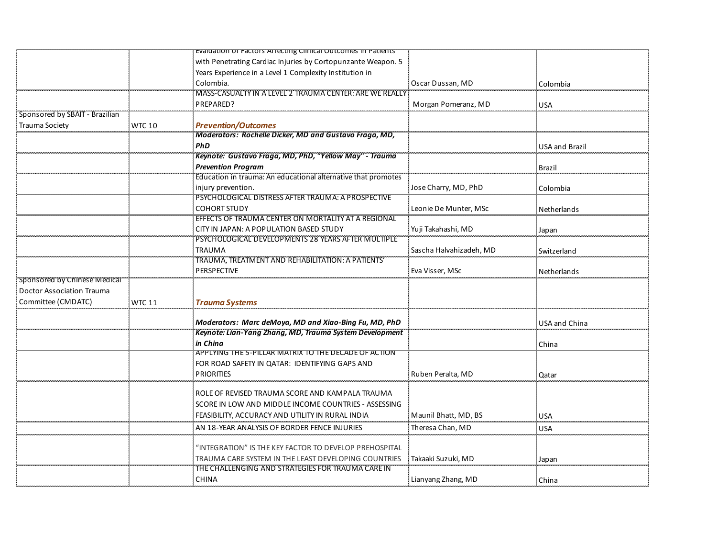|                                  |               | Evaluation of Factors Affecting Clinical Outcomes in Patients'      |                         |                       |
|----------------------------------|---------------|---------------------------------------------------------------------|-------------------------|-----------------------|
|                                  |               | with Penetrating Cardiac Injuries by Cortopunzante Weapon. 5        |                         |                       |
|                                  |               | Years Experience in a Level 1 Complexity Institution in             |                         |                       |
|                                  |               | Colombia.                                                           | Oscar Dussan, MD        | Colombia              |
|                                  |               | MASS-CASUALTY IN A LEVEL 2 TRAUMA CENTER: ARE WE REALLY             |                         |                       |
|                                  |               | PREPARED?                                                           | Morgan Pomeranz, MD     | <b>USA</b>            |
| Sponsored by SBAIT - Brazilian   |               |                                                                     |                         |                       |
| Trauma Society                   | <b>WTC 10</b> | Prevention/Outcomes                                                 |                         |                       |
|                                  |               | Moderators: Rochelle Dicker, MD and Gustavo Fraga, MD,              |                         |                       |
|                                  |               | PhD                                                                 |                         | <b>USA and Brazil</b> |
|                                  |               | .<br>Keynote: Gustavo Fraga, MD, PhD, "Yellow May" - Trauma         |                         |                       |
|                                  |               | <b>Prevention Program</b>                                           |                         | Brazil                |
|                                  |               | Education in trauma: An educational alternative that promotes       |                         |                       |
|                                  |               | injury prevention.                                                  | Jose Charry, MD, PhD    | Colombia              |
|                                  |               | PSYCHOLOGICAL DISTRESS AFTER TRAUMA: A PROSPECTIVE                  |                         |                       |
|                                  |               | <b>COHORT STUDY</b>                                                 | Leonie De Munter, MSc   | Netherlands           |
|                                  |               | EFFECTS OF TRAUMA CENTER ON MORTALITY AT A REGIONAL                 |                         |                       |
|                                  |               | CITY IN JAPAN: A POPULATION BASED STUDY                             | Yuji Takahashi, MD      | Japan                 |
|                                  |               | PSYCHOLOGICAL DEVELOPMENTS 28 YEARS AFTER MULTIPLE                  |                         |                       |
|                                  |               | <b>TRAUMA</b>                                                       | Sascha Halvahizadeh, MD | Switzerland           |
|                                  |               | TRAUMA, TREATMENT AND REHABILITATION: A PATIENTS'                   |                         |                       |
|                                  |               | <b>PERSPECTIVE</b>                                                  | Eva Visser, MSc         | Netherlands           |
| Sponsored by Chinese Medical     |               |                                                                     |                         |                       |
| <b>Doctor Association Trauma</b> |               |                                                                     |                         |                       |
| Committee (CMDATC)               | <b>WTC 11</b> | <b>Trauma Systems</b>                                               |                         |                       |
|                                  |               |                                                                     |                         |                       |
|                                  |               | Moderators: Marc deMoya, MD and Xiao-Bing Fu, MD, PhD               |                         | USA and China         |
|                                  |               | Keynote: Lian-Yang Zhang, MD, Trauma System Development<br>in China |                         |                       |
|                                  |               | APPLYING THE 5-PILLAR MATRIX TO THE DECADE OF ACTION'               |                         | China                 |
|                                  |               | FOR ROAD SAFETY IN QATAR: IDENTIFYING GAPS AND                      |                         |                       |
|                                  |               | <b>PRIORITIES</b>                                                   | Ruben Peralta, MD       |                       |
|                                  |               |                                                                     |                         | Qatar                 |
|                                  |               | ROLE OF REVISED TRAUMA SCORE AND KAMPALA TRAUMA                     |                         |                       |
|                                  |               | SCORE IN LOW AND MIDDLE INCOME COUNTRIES - ASSESSING                |                         |                       |
|                                  |               | FEASIBILITY, ACCURACY AND UTILITY IN RURAL INDIA                    | Maunil Bhatt, MD, BS    | <b>USA</b>            |
|                                  |               | AN 18-YEAR ANALYSIS OF BORDER FENCE INJURIES                        | Theresa Chan, MD        |                       |
|                                  |               |                                                                     |                         | USA                   |
|                                  |               | "INTEGRATION" IS THE KEY FACTOR TO DEVELOP PREHOSPITAL              |                         |                       |
|                                  |               | TRAUMA CARE SYSTEM IN THE LEAST DEVELOPING COUNTRIES                | Takaaki Suzuki, MD      | Japan                 |
|                                  |               | THE CHALLENGING AND STRATEGIES FOR TRAUMA CARE IN                   |                         |                       |
|                                  |               | <b>CHINA</b>                                                        | Lianyang Zhang, MD      | China                 |
|                                  |               |                                                                     |                         |                       |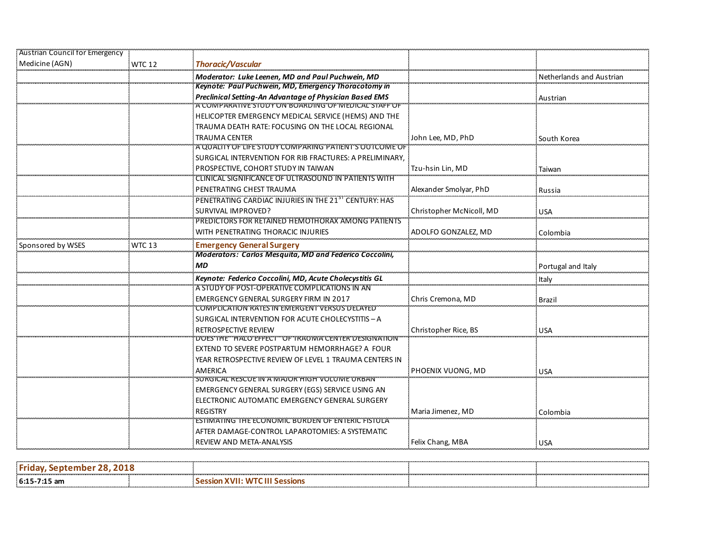| Austrian Council for Emergency |               |                                                                |                          |                          |
|--------------------------------|---------------|----------------------------------------------------------------|--------------------------|--------------------------|
| Medicine (AGN)                 | WTC 12        | <b>Thoracic/Vascular</b>                                       |                          |                          |
|                                |               | Moderator: Luke Leenen, MD and Paul Puchwein, MD               |                          | Netherlands and Austrian |
|                                |               | <b>Keynote: Paul Puchwein, MD, Emergency Thoracotomy in</b>    |                          |                          |
|                                |               | Preclinical Setting-An Advantage of Physician Based EMS        |                          | Austrian                 |
|                                |               | TCOMPARATIVE STODY ON BOARDING OF WEDICAL STAFF O              |                          |                          |
|                                |               | HELICOPTER EMERGENCY MEDICAL SERVICE (HEMS) AND THE            |                          |                          |
|                                |               | TRAUMA DEATH RATE: FOCUSING ON THE LOCAL REGIONAL              |                          |                          |
|                                |               | <b>TRAUMA CENTER</b>                                           | John Lee, MD, PhD        | South Korea              |
|                                |               | A QUALITY OF LIFE STUDY COMPARING PATIENT'S OUTCOME OF         |                          |                          |
|                                |               | SURGICAL INTERVENTION FOR RIB FRACTURES: A PRELIMINARY,        |                          |                          |
|                                |               | PROSPECTIVE, COHORT STUDY IN TAIWAN                            | Tzu-hsin Lin, MD         | Taiwan                   |
|                                |               | CLINICAL SIGNIFICANCE OF ULTRASOUND IN PATIENTS WITH           |                          |                          |
|                                |               | PENETRATING CHEST TRAUMA                                       | Alexander Smolyar, PhD   | Russia                   |
|                                |               | PENETRATING CARDIAC INJURIES IN THE 21ST CENTURY: HAS          |                          |                          |
|                                |               | SURVIVAL IMPROVED?                                             | Christopher McNicoll, MD | USA                      |
|                                |               | PREDICTORS FOR RETAINED HEMOTHORAX AMONG PATIENTS              |                          |                          |
|                                |               | WITH PENETRATING THORACIC INJURIES                             | ADOLFO GONZALEZ, MD      | Colombia                 |
| Sponsored by WSES              | <b>WTC 13</b> | <b>Emergency General Surgery</b>                               |                          |                          |
|                                |               | <b>Moderators: Carlos Mesquita, MD and Federico Coccolini,</b> |                          |                          |
|                                |               | <b>MD</b>                                                      |                          | Portugal and Italy       |
|                                |               | Keynote: Federico Coccolini, MD, Acute Cholecystitis GL        |                          | Italy                    |
|                                |               | A STUDY OF POST-OPERATIVE COMPLICATIONS IN AN                  |                          |                          |
|                                |               | EMERGENCY GENERAL SURGERY FIRM IN 2017                         | Chris Cremona, MD        | Brazil                   |
|                                |               | COMPLICATION RATES IN EMERGENT VERSUS DELAYED                  |                          |                          |
|                                |               | SURGICAL INTERVENTION FOR ACUTE CHOLECYSTITIS - A              |                          |                          |
|                                |               | RETROSPECTIVE REVIEW                                           | Christopher Rice, BS     | <b>USA</b>               |
|                                |               | DOES THE " HALO EFFECT" OF TRAUMA CENTER DESIGNATION"          |                          |                          |
|                                |               | EXTEND TO SEVERE POSTPARTUM HEMORRHAGE? A FOUR                 |                          |                          |
|                                |               | YEAR RETROSPECTIVE REVIEW OF LEVEL 1 TRAUMA CENTERS IN         |                          |                          |
|                                |               | AMERICA                                                        | PHOENIX VUONG. MD        | : USA                    |
|                                |               | SURGICAL RESCUE IN A MAJOR HIGH VOLUME URBAN                   |                          |                          |
|                                |               | EMERGENCY GENERAL SURGERY (EGS) SERVICE USING AN               |                          |                          |
|                                |               | ELECTRONIC AUTOMATIC EMERGENCY GENERAL SURGERY                 |                          |                          |
|                                |               | <b>REGISTRY</b>                                                | Maria Jimenez, MD        | Colombia                 |
|                                |               | <b>ESTIMATING THE ECONOMIC BURDEN OF ENTERIC FISTULA</b>       |                          |                          |
|                                |               | AFTER DAMAGE-CONTROL LAPAROTOMIES: A SYSTEMATIC                |                          |                          |
|                                |               | REVIEW AND META-ANALYSIS                                       | Felix Chang, MBA         | <b>USA</b>               |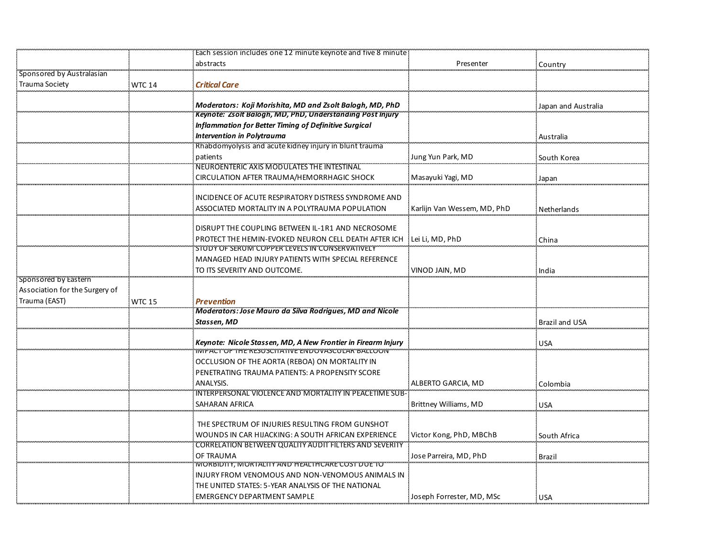|                                |               | Each session includes one 12 minute keynote and five 8 minute |                             |                       |
|--------------------------------|---------------|---------------------------------------------------------------|-----------------------------|-----------------------|
|                                |               | abstracts                                                     | Presenter                   | Country               |
| Sponsored by Australasian      |               |                                                               |                             |                       |
| <b>Trauma Society</b>          | <b>WTC 14</b> | <b>Critical Care</b>                                          |                             |                       |
|                                |               |                                                               |                             |                       |
|                                |               | Moderators: Koji Morishita, MD and Zsolt Balogh, MD, PhD      |                             | Japan and Australia   |
|                                |               | Keynote: Zsolt Balogh, MD, PhD, Understanding Post Injury     |                             |                       |
|                                |               | Inflammation for Better Timing of Definitive Surgical         |                             |                       |
|                                |               | <b>Intervention in Polytrauma</b>                             |                             | Australia             |
|                                |               | Rhabdomyolysis and acute kidney injury in blunt trauma        |                             |                       |
|                                |               | patients                                                      | Jung Yun Park, MD           | South Korea           |
|                                |               | NEUROENTERIC AXIS MODULATES THE INTESTINAL                    |                             |                       |
|                                |               | CIRCULATION AFTER TRAUMA/HEMORRHAGIC SHOCK                    | Masayuki Yagi, MD           | Japan                 |
|                                |               | INCIDENCE OF ACUTE RESPIRATORY DISTRESS SYNDROME AND          |                             |                       |
|                                |               |                                                               |                             |                       |
|                                |               | ASSOCIATED MORTALITY IN A POLYTRAUMA POPULATION               | Karlijn Van Wessem, MD, PhD | Netherlands           |
|                                |               | DISRUPT THE COUPLING BETWEEN IL-1R1 AND NECROSOME             |                             |                       |
|                                |               | PROTECT THE HEMIN-EVOKED NEURON CELL DEATH AFTER ICH          | Lei Li, MD, PhD             |                       |
|                                |               | STUDY OF SERUM COPPER LEVELS IN CONSERVATIVELY                |                             | China                 |
|                                |               | MANAGED HEAD INJURY PATIENTS WITH SPECIAL REFERENCE           |                             |                       |
|                                |               | TO ITS SEVERITY AND OUTCOME.                                  | VINOD JAIN, MD              | India                 |
| Sponsored by Eastern           |               |                                                               |                             |                       |
| Association for the Surgery of |               |                                                               |                             |                       |
| Trauma (EAST)                  | <b>WTC 15</b> | <b>Prevention</b>                                             |                             |                       |
|                                |               | Moderators: Jose Mauro da Silva Rodrigues, MD and Nicole      |                             |                       |
|                                |               | Stassen, MD                                                   |                             | <b>Brazil and USA</b> |
|                                |               |                                                               |                             |                       |
|                                |               | Keynote: Nicole Stassen, MD, A New Frontier in Firearm Injury |                             | <b>USA</b>            |
|                                |               | INIPACT OF THE RESUSCITATIVE ENDOVASCULAR BALLOON             |                             |                       |
|                                |               | OCCLUSION OF THE AORTA (REBOA) ON MORTALITY IN                |                             |                       |
|                                |               | PENETRATING TRAUMA PATIENTS: A PROPENSITY SCORE               |                             |                       |
|                                |               | ANALYSIS.                                                     | ALBERTO GARCIA, MD          | Colombia              |
|                                |               | INTERPERSONAL VIOLENCE AND MORTALITY IN PEACETIME SUB-        |                             |                       |
|                                |               | SAHARAN AFRICA                                                | Brittney Williams, MD       | <b>USA</b>            |
|                                |               |                                                               |                             |                       |
|                                |               | THE SPECTRUM OF INJURIES RESULTING FROM GUNSHOT               |                             |                       |
|                                |               | WOUNDS IN CAR HIJACKING: A SOUTH AFRICAN EXPERIENCE           | Victor Kong, PhD, MBChB     | South Africa          |
|                                |               | CORRELATION BETWEEN QUALITY AUDIT FILTERS AND SEVERITY        |                             |                       |
|                                |               | OF TRAUMA<br>WORBIDTIY, MORTALITY AND HEALTHCARE COST DUE TO  | Jose Parreira, MD, PhD      | Brazil                |
|                                |               | INJURY FROM VENOMOUS AND NON-VENOMOUS ANIMALS IN              |                             |                       |
|                                |               | THE UNITED STATES: 5-YEAR ANALYSIS OF THE NATIONAL            |                             |                       |
|                                |               |                                                               |                             |                       |
|                                |               | EMERGENCY DEPARTMENT SAMPLE                                   | Joseph Forrester, MD, MSc   | <b>USA</b>            |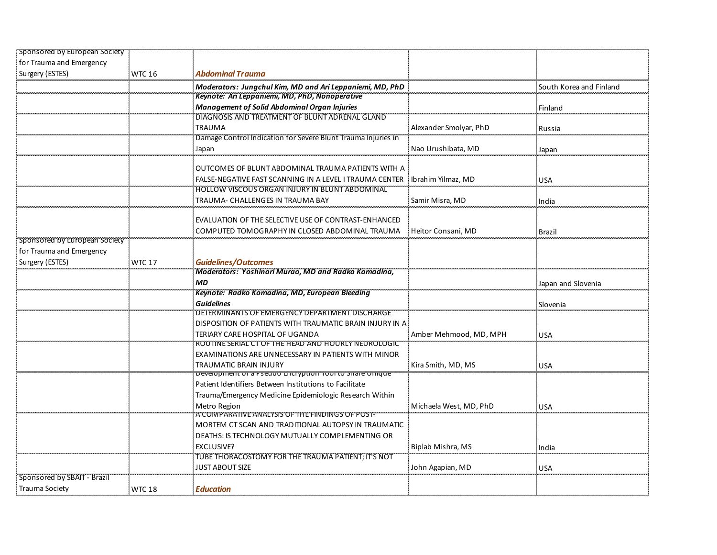| Sponsored by European Society      |               |                                                                                   |                        |                         |
|------------------------------------|---------------|-----------------------------------------------------------------------------------|------------------------|-------------------------|
| for Trauma and Emergency           |               |                                                                                   |                        |                         |
| Surgery (ESTES)                    | <b>WTC 16</b> | <b>Abdominal Trauma</b>                                                           |                        |                         |
|                                    |               | Moderators: Jungchul Kim, MD and Ari Leppaniemi, MD, PhD                          |                        | South Korea and Finland |
|                                    |               | Keynote: Ari Leppaniemi, MD, PhD, Nonoperative                                    |                        |                         |
|                                    |               | <b>Management of Solid Abdominal Organ Injuries</b>                               |                        | Finland                 |
|                                    |               | DIAGNOSIS AND TREATMENT OF BLUNT ADRENAL GLAND                                    |                        |                         |
|                                    |               | <b>TRAUMA</b>                                                                     | Alexander Smolyar, PhD | Russia                  |
|                                    |               | Damage Control Indication for Severe Blunt Trauma Injuries in                     |                        |                         |
|                                    |               | Japan                                                                             | Nao Urushibata, MD     | Japan                   |
|                                    |               |                                                                                   |                        |                         |
|                                    |               | OUTCOMES OF BLUNT ABDOMINAL TRAUMA PATIENTS WITH A                                |                        |                         |
|                                    |               | FALSE-NEGATIVE FAST SCANNING IN A LEVEL I TRAUMA CENTER                           | Ibrahim Yilmaz, MD     | <b>USA</b>              |
|                                    |               | HOLLOW VISCOUS ORGAN INJURY IN BLUNT ABDOMINAL                                    |                        |                         |
|                                    |               | TRAUMA- CHALLENGES IN TRAUMA BAY                                                  | Samir Misra, MD        | India                   |
|                                    |               |                                                                                   |                        |                         |
|                                    |               | EVALUATION OF THE SELECTIVE USE OF CONTRAST-ENHANCED                              |                        |                         |
|                                    |               | COMPUTED TOMOGRAPHY IN CLOSED ABDOMINAL TRAUMA                                    | Heitor Consani, MD     | Brazil                  |
| Sponsored by European Society      |               |                                                                                   |                        |                         |
| for Trauma and Emergency           |               |                                                                                   |                        |                         |
| Surgery (ESTES)                    | <b>WTC 17</b> | <b>Guidelines/Outcomes</b><br>Moderators: Yoshinori Murao, MD and Radko Komadina, |                        |                         |
|                                    |               |                                                                                   |                        |                         |
|                                    |               | ΜD<br>Keynote: Radko Komadina, MD, European Bleeding                              |                        | Japan and Slovenia      |
|                                    |               | <b>Guidelines</b>                                                                 |                        |                         |
|                                    |               | DETERMINANTS OF EMERGENCY DEPARTMENT DISCHARGE                                    |                        | Slovenia                |
|                                    |               | DISPOSITION OF PATIENTS WITH TRAUMATIC BRAIN INJURY IN A                          |                        |                         |
|                                    |               | TERIARY CARE HOSPITAL OF UGANDA                                                   | Amber Mehmood, MD, MPH |                         |
|                                    |               | ROOTINE SERIAL CT OF THE HEAD AND HOURLY NEUROLOGIC                               |                        | <b>USA</b>              |
|                                    |               | EXAMINATIONS ARE UNNECESSARY IN PATIENTS WITH MINOR                               |                        |                         |
|                                    |               | TRAUMATIC BRAIN INJURY                                                            | Kira Smith, MD, MS     | <b>USA</b>              |
|                                    |               | Development of a Pseudo Encryption Tool to Share Unique"                          |                        |                         |
|                                    |               | Patient Identifiers Between Institutions to Facilitate                            |                        |                         |
|                                    |               | Trauma/Emergency Medicine Epidemiologic Research Within                           |                        |                         |
|                                    |               | Metro Region                                                                      | Michaela West, MD, PhD | USA                     |
|                                    |               | A COMPARATIVE ANALYSIS OF THE FINDINGS OF POST-                                   |                        |                         |
|                                    |               | MORTEM CT SCAN AND TRADITIONAL AUTOPSY IN TRAUMATIC                               |                        |                         |
|                                    |               | DEATHS: IS TECHNOLOGY MUTUALLY COMPLEMENTING OR                                   |                        |                         |
|                                    |               | <b>EXCLUSIVE?</b>                                                                 | Biplab Mishra, MS      | India                   |
|                                    |               | TUBE THORACOSTOMY FOR THE TRAUMA PATIENT; IT'S NOT                                |                        |                         |
|                                    |               | <b>JUST ABOUT SIZE</b>                                                            | John Agapian, MD       | <b>USA</b>              |
| <b>Sponsored by SBAIT - Brazil</b> |               |                                                                                   |                        |                         |
| Trauma Society                     | <b>WTC 18</b> | <b>Education</b>                                                                  |                        |                         |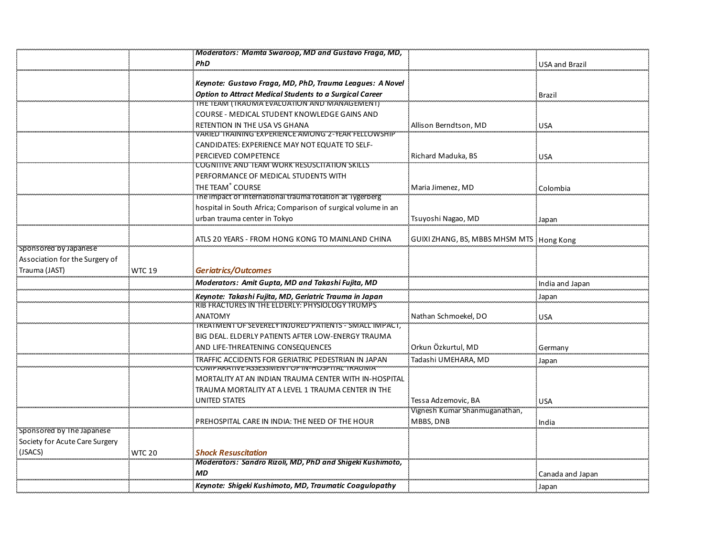|                                |               | Moderators: Mamta Swaroop, MD and Gustavo Fraga, MD,                                        |                                            |                       |
|--------------------------------|---------------|---------------------------------------------------------------------------------------------|--------------------------------------------|-----------------------|
|                                |               | PhD                                                                                         |                                            | <b>USA and Brazil</b> |
|                                |               | Keynote: Gustavo Fraga, MD, PhD, Trauma Leagues: A Novel                                    |                                            |                       |
|                                |               | <b>Option to Attract Medical Students to a Surgical Career</b>                              |                                            | <b>Brazil</b>         |
|                                |               | THE TEAM (TRAUMA EVALUATION AND MANAGEMENT)<br>COURSE - MEDICAL STUDENT KNOWLEDGE GAINS AND |                                            |                       |
|                                |               | RETENTION IN THE USA VS GHANA                                                               | Allison Berndtson, MD                      | <b>USA</b>            |
|                                |               | VARIED TRAINING EXPERIENCE AMONG 2-YEAR FELLOWSHIP                                          |                                            |                       |
|                                |               | CANDIDATES: EXPERIENCE MAY NOT EQUATE TO SELF-                                              |                                            |                       |
|                                |               | PERCIEVED COMPETENCE                                                                        | Richard Maduka, BS                         | <b>USA</b>            |
|                                |               | COGNITIVE AND TEAM WORK RESUSCITATION SKILLS                                                |                                            |                       |
|                                |               | PERFORMANCE OF MEDICAL STUDENTS WITH                                                        |                                            |                       |
|                                |               | THE TEAM <sup>®</sup> COURSE<br>The impact of International trauma rotation at Tygerberg    | Maria Jimenez, MD                          | Colombia              |
|                                |               | hospital in South Africa; Comparison of surgical volume in an                               |                                            |                       |
|                                |               | urban trauma center in Tokyo                                                                | Tsuyoshi Nagao, MD                         | Japan                 |
|                                |               |                                                                                             |                                            |                       |
|                                |               | ATLS 20 YEARS - FROM HONG KONG TO MAINLAND CHINA                                            | GUIXI ZHANG, BS, MBBS MHSM MTS   Hong Kong |                       |
| Sponsored by Japanese          |               |                                                                                             |                                            |                       |
| Association for the Surgery of |               |                                                                                             |                                            |                       |
| Trauma (JAST)                  | <b>WTC 19</b> | <b>Geriatrics/Outcomes</b>                                                                  |                                            |                       |
|                                |               | Moderators: Amit Gupta, MD and Takashi Fujita, MD                                           |                                            | India and Japan       |
|                                |               | Keynote: Takashi Fujita, MD, Geriatric Trauma in Japan                                      |                                            | Japan                 |
|                                |               | RIB FRACTURES IN THE ELDERLY: PHYSIOLOGY TRUMPS                                             |                                            |                       |
|                                |               | <b>ANATOMY</b><br>TREATMENT OF SEVERELY INJURED PATIENTS - SMALL IMPACT,                    | Nathan Schmoekel, DO                       | <b>USA</b>            |
|                                |               | BIG DEAL. ELDERLY PATIENTS AFTER LOW-ENERGY TRAUMA                                          |                                            |                       |
|                                |               | AND LIFE-THREATENING CONSEQUENCES                                                           | Orkun Özkurtul, MD                         | Germany               |
|                                |               | TRAFFIC ACCIDENTS FOR GERIATRIC PEDESTRIAN IN JAPAN                                         | Tadashi UMEHARA, MD                        | Japan                 |
|                                |               | COMPARATIVE ASSESSMENT OF IN-HOSPITAL TRAUWA                                                |                                            |                       |
|                                |               | MORTALITY AT AN INDIAN TRAUMA CENTER WITH IN-HOSPITAL                                       |                                            |                       |
|                                |               | TRAUMA MORTALITY AT A LEVEL 1 TRAUMA CENTER IN THE                                          |                                            |                       |
|                                |               | <b>UNITED STATES</b>                                                                        | Tessa Adzemovic, BA                        | <b>USA</b>            |
|                                |               |                                                                                             | Vignesh Kumar Shanmuganathan,              |                       |
| sponsored by The Japanese      |               | PREHOSPITAL CARE IN INDIA: THE NEED OF THE HOUR                                             | MBBS, DNB                                  | India                 |
| Society for Acute Care Surgery |               |                                                                                             |                                            |                       |
| (JSACS)                        | <b>WTC 20</b> | <b>Shock Resuscitation</b>                                                                  |                                            |                       |
|                                |               | Moderators: Sandro Rizoli, MD, PhD and Shigeki Kushimoto,                                   |                                            |                       |
|                                |               | <b>MD</b>                                                                                   |                                            | Canada and Japan      |
|                                |               | Keynote: Shigeki Kushimoto, MD, Traumatic Coagulopathy                                      |                                            | Japan                 |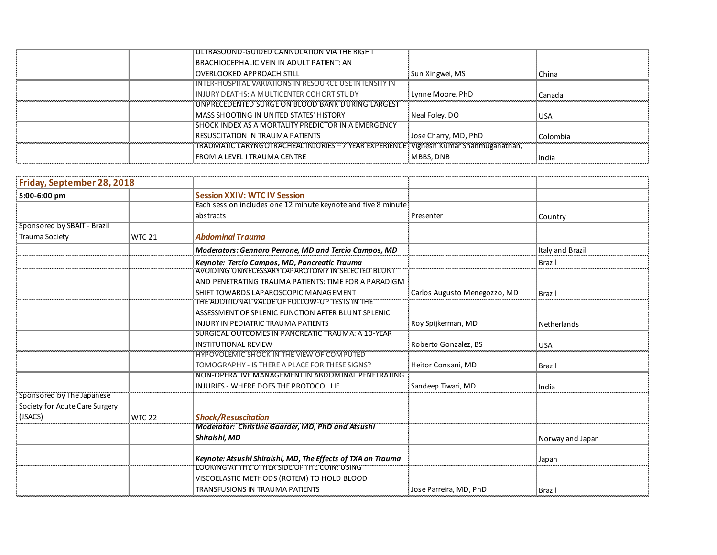| ULTRASOUND-GUIDED CANNULATION VIA THE RIGHT                                            |                      |            |
|----------------------------------------------------------------------------------------|----------------------|------------|
| BRACHIOCEPHALIC VEIN IN ADULT PATIENT: AN                                              |                      |            |
| OVERLOOKED APPROACH STILL                                                              | Sun Xingwei, MS      | China      |
| INTER-HOSPITAL VARIATIONS IN RESOURCE USE INTENSITY IN                                 |                      |            |
| INJURY DEATHS: A MULTICENTER COHORT STUDY                                              | Lynne Moore, PhD     | Canada     |
| UNPRECEDENTED SURGE ON BLOOD BANK DURING LARGEST                                       |                      |            |
| MASS SHOOTING IN UNITED STATES' HISTORY                                                | Neal Foley, DO       | <b>USA</b> |
| SHOCK INDEX AS A MORTALITY PREDICTOR IN A EMERGENCY                                    |                      |            |
| RESUSCITATION IN TRAUMA PATIENTS                                                       | Jose Charry, MD, PhD | Colombia   |
| TRAUMATIC LARYNGOTRACHEAL INJURIES - 7 YEAR EXPERIENCE ! Vignesh Kumar Shanmuganathan, |                      |            |
| FROM A LEVEL I TRAUMA CENTRE                                                           | MBBS, DNB            | India      |

| Friday, September 28, 2018     |               |                                                                                                              |                              |                  |
|--------------------------------|---------------|--------------------------------------------------------------------------------------------------------------|------------------------------|------------------|
| 5:00-6:00 pm                   |               | <b>Session XXIV: WTC IV Session</b>                                                                          |                              |                  |
|                                |               | Each session includes one 12 minute keynote and five 8 minute                                                |                              |                  |
|                                |               | abstracts                                                                                                    | Presenter                    | Country          |
| Sponsored by SBAIT - Brazil    |               |                                                                                                              |                              |                  |
| Trauma Society                 | <b>WTC 21</b> | <b>Abdominal Trauma</b>                                                                                      |                              |                  |
|                                |               | Moderators: Gennaro Perrone, MD and Tercio Campos, MD                                                        |                              | Italy and Brazil |
|                                |               | Keynote: Tercio Campos, MD, Pancreatic Trauma                                                                |                              | Brazil           |
|                                |               | AVOIDING UNNECESSARY LAPAROTOMY IN SELECTED BLUNT                                                            |                              |                  |
|                                |               | AND PENETRATING TRAUMA PATIENTS: TIME FOR A PARADIGM                                                         |                              |                  |
|                                |               | SHIFT TOWARDS LAPAROSCOPIC MANAGEMENT                                                                        | Carlos Augusto Menegozzo, MD | Brazi            |
|                                |               | THE ADDITIONAL VALUE OF FOLLOW-UP TESTS IN THE                                                               |                              |                  |
|                                |               | ASSESSMENT OF SPLENIC FUNCTION AFTER BLUNT SPLENIC                                                           |                              |                  |
|                                |               | INJURY IN PEDIATRIC TRAUMA PATIENTS<br>SURGICAL OUTCOMES IN PANCREATIC TRAUMA: A 10-YEAR                     | Roy Spijkerman, MD           | Netherlands      |
|                                |               | <b>INSTITUTIONAL REVIEW</b>                                                                                  | Roberto Gonzalez, BS         | <b>USA</b>       |
|                                |               | <b>HYPOVOLEMIC SHOCK IN THE VIEW OF COMPUTED</b>                                                             |                              |                  |
|                                |               | TOMOGRAPHY - IS THERE A PLACE FOR THESE SIGNS?                                                               | Heitor Consani, MD           | Brazil           |
|                                |               | NON-OPERATIVE MANAGEMENT IN ABDOMINAL PENETRATING                                                            |                              |                  |
|                                |               | INJURIES - WHERE DOES THE PROTOCOL LIE                                                                       | Sandeep Tiwari, MD           | India            |
| Sponsored by The Japanese      |               |                                                                                                              |                              |                  |
| Society for Acute Care Surgery |               |                                                                                                              |                              |                  |
| (JSACS)                        | <b>WTC 22</b> | <b>Shock/Resuscitation</b>                                                                                   |                              |                  |
|                                |               | Moderator: Christine Gaarder, MD, PhD and Atsushi                                                            |                              |                  |
|                                |               | Shiraishi. MD                                                                                                |                              | Norway and Japan |
|                                |               |                                                                                                              |                              |                  |
|                                |               | Keynote: Atsushi Shiraishi, MD, The Effects of TXA on Trauma<br>LOOKING AT THE OTHER SIDE OF THE COIN: USING |                              | Japan            |
|                                |               | VISCOELASTIC METHODS (ROTEM) TO HOLD BLOOD                                                                   |                              |                  |
|                                |               |                                                                                                              |                              |                  |
|                                |               | TRANSFUSIONS IN TRAUMA PATIENTS                                                                              | Jose Parreira, MD, PhD       | Brazil           |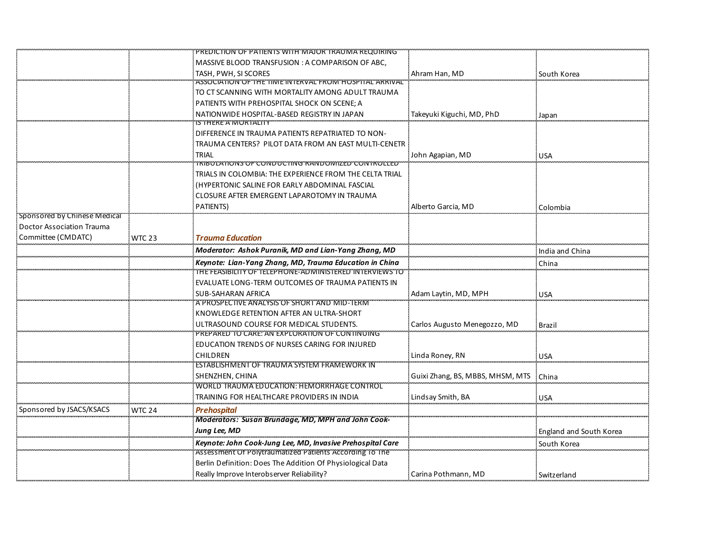|                              |               | PREDICTION OF PATIENTS WITH MAJOR TRAUMA REQUIRING         |                                        |                                |
|------------------------------|---------------|------------------------------------------------------------|----------------------------------------|--------------------------------|
|                              |               | MASSIVE BLOOD TRANSFUSION : A COMPARISON OF ABC,           |                                        |                                |
|                              |               | TASH, PWH, SI SCORES                                       | Ahram Han, MD                          | South Korea                    |
|                              |               | ASSOCIATION OF THE TIME INTERVAL FROM HOSPITAL ARRIVAL     |                                        |                                |
|                              |               | TO CT SCANNING WITH MORTALITY AMONG ADULT TRAUMA           |                                        |                                |
|                              |               | PATIENTS WITH PREHOSPITAL SHOCK ON SCENE; A                |                                        |                                |
|                              |               | NATIONWIDE HOSPITAL-BASED REGISTRY IN JAPAN                | Takeyuki Kiguchi, MD, PhD              | <b>Japan</b>                   |
|                              |               | IS THERE A MORTALITY                                       |                                        |                                |
|                              |               | DIFFERENCE IN TRAUMA PATIENTS REPATRIATED TO NON-          |                                        |                                |
|                              |               | TRAUMA CENTERS? PILOT DATA FROM AN EAST MULTI-CENETR       |                                        |                                |
|                              |               | TRIAL                                                      | John Agapian, MD                       | <b>USA</b>                     |
|                              |               | IRIBULATIONS OF CONDUCTING RANDOMIZED CONTROLLED           |                                        |                                |
|                              |               | TRIALS IN COLOMBIA: THE EXPERIENCE FROM THE CELTA TRIAL    |                                        |                                |
|                              |               | (HYPERTONIC SALINE FOR EARLY ABDOMINAL FASCIAL             |                                        |                                |
|                              |               | CLOSURE AFTER EMERGENT LAPAROTOMY IN TRAUMA                |                                        |                                |
|                              |               | <b>PATIENTS)</b>                                           | Alberto Garcia, MD                     | Colombia                       |
| Sponsored by Chinese Medical |               |                                                            |                                        |                                |
| Doctor Association Trauma    |               |                                                            |                                        |                                |
| Committee (CMDATC)           | <b>WTC 23</b> | <b>Trauma Education</b>                                    |                                        |                                |
|                              |               | Moderator: Ashok Puranik, MD and Lian-Yang Zhang, MD       |                                        | India and China                |
|                              |               | Keynote: Lian-Yang Zhang, MD, Trauma Education in China    |                                        | China                          |
|                              |               | THE FEASIBILITY OF TELEPHONE-ADMINISTERED INTERVIEWS TO    |                                        |                                |
|                              |               | EVALUATE LONG-TERM OUTCOMES OF TRAUMA PATIENTS IN          |                                        |                                |
|                              |               | <b>SUB-SAHARAN AFRICA</b>                                  | Adam Laytin, MD, MPH                   | <b>USA</b>                     |
|                              |               | A PROSPECTIVE ANALYSIS OF SHORT AND MID-TERM               |                                        |                                |
|                              |               | KNOWLEDGE RETENTION AFTER AN ULTRA-SHORT                   |                                        |                                |
|                              |               | ULTRASOUND COURSE FOR MEDICAL STUDENTS.                    | Carlos Augusto Menegozzo, MD           | <b>Brazil</b>                  |
|                              |               | PREPARED TO CARE: AN EXPLORATION OF CONTINUING             |                                        |                                |
|                              |               | EDUCATION TRENDS OF NURSES CARING FOR INJURED              |                                        |                                |
|                              |               | CHILDREN                                                   | Linda Roney, RN                        | <b>USA</b>                     |
|                              |               | ESTABLISHMENT OF TRAUMA SYSTEM FRAMEWORK IN                |                                        |                                |
|                              |               | SHENZHEN, CHINA                                            | Guixi Zhang, BS, MBBS, MHSM, MTS China |                                |
|                              |               | WORLD TRAUMA EDUCATION: HEMORRHAGE CONTROL                 |                                        |                                |
|                              |               | TRAINING FOR HEALTHCARE PROVIDERS IN INDIA                 | Lindsay Smith, BA                      | <b>USA</b>                     |
| Sponsored by JSACS/KSACS     | <b>WTC 24</b> | <b>Prehospital</b>                                         |                                        |                                |
|                              |               | Moderators: Susan Brundage, MD, MPH and John Cook-         |                                        |                                |
|                              |               | Jung Lee, MD                                               |                                        | <b>England and South Korea</b> |
|                              |               | Keynote: John Cook-Jung Lee, MD, Invasive Prehospital Care |                                        | South Korea                    |
|                              |               | Assessment Of Polytraumatized Patients According To The    |                                        |                                |
|                              |               | Berlin Definition: Does The Addition Of Physiological Data |                                        |                                |
|                              |               | Really Improve Interobserver Reliability?                  | Carina Pothmann, MD                    | Switzerland                    |